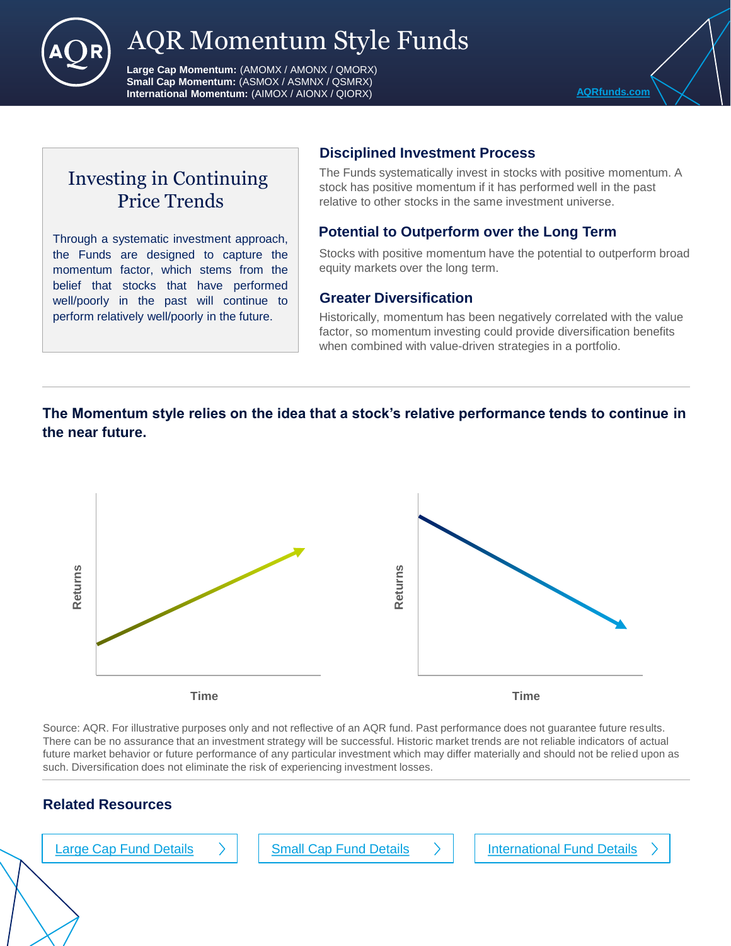

# AQR Momentum Style Funds

**Large Cap Momentum:** (AMOMX / AMONX / QMORX) **Small Cap Momentum:** (ASMOX / ASMNX / QSMRX) **International Momentum:** (AIMOX / AIONX / QIORX) **ADDITIONAL COMPONENTIAL COMPONENTIAL COMPONENTIAL COMPONENTIAL** 

Investing in Continuing Price Trends

Through a systematic investment approach, the Funds are designed to capture the momentum factor, which stems from the belief that stocks that have performed well/poorly in the past will continue to perform relatively well/poorly in the future.

## **Disciplined Investment Process**

The Funds systematically invest in stocks with positive momentum. A stock has positive momentum if it has performed well in the past relative to other stocks in the same investment universe.

### **Potential to Outperform over the Long Term**

Stocks with positive momentum have the potential to outperform broad equity markets over the long term.

### **Greater Diversification**

Historically, momentum has been negatively correlated with the value factor, so momentum investing could provide diversification benefits when combined with value-driven strategies in a portfolio.

## **The Momentum style relies on the idea that a stock's relative performance tends to continue in the near future.**



Source: AQR. For illustrative purposes only and not reflective of an AQR fund. Past performance does not guarantee future results. There can be no assurance that an investment strategy will be successful. Historic market trends are not reliable indicators of actual future market behavior or future performance of any particular investment which may differ materially and should not be relied upon as such. Diversification does not eliminate the risk of experiencing investment losses.

## **Related Resources**